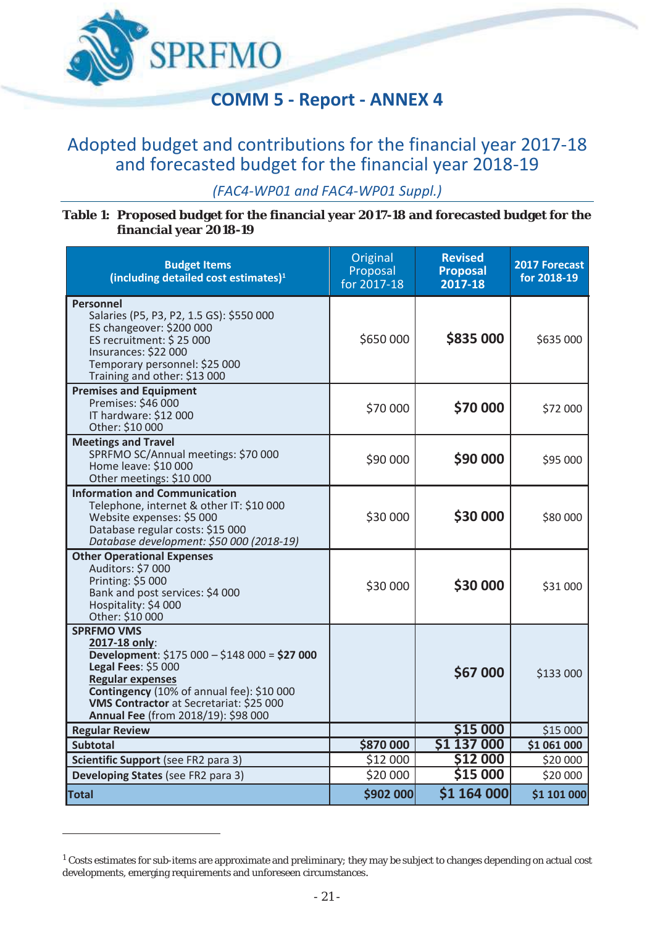

## Adopted budget and contributions for the financial year 2017-18 and forecasted budget for the financial year 2018-19

*(FAC4-WP01 and FAC4-WP01 Suppl.)* 

**Table 1: Proposed budget for the financial year 2017-18 and forecasted budget for the financial year 2018-19** 

| <b>Budget Items</b><br>(including detailed cost estimates) <sup>1</sup>                                                                                                                                                                                                     | Original<br>Proposal<br>for 2017-18 | <b>Revised</b><br><b>Proposal</b><br>2017-18 | 2017 Forecast<br>for 2018-19 |
|-----------------------------------------------------------------------------------------------------------------------------------------------------------------------------------------------------------------------------------------------------------------------------|-------------------------------------|----------------------------------------------|------------------------------|
| <b>Personnel</b><br>Salaries (P5, P3, P2, 1.5 GS): \$550 000<br>ES changeover: \$200 000<br>ES recruitment: \$25 000<br>Insurances: \$22 000<br>Temporary personnel: \$25 000<br>Training and other: \$13 000                                                               | \$650 000                           | \$835 000                                    | \$635 000                    |
| <b>Premises and Equipment</b><br>Premises: \$46 000<br>IT hardware: \$12 000<br>Other: \$10 000                                                                                                                                                                             | \$70 000                            | \$70 000                                     | \$72 000                     |
| <b>Meetings and Travel</b><br>SPRFMO SC/Annual meetings: \$70 000<br>Home leave: \$10 000<br>Other meetings: \$10 000                                                                                                                                                       | \$90 000                            | \$90 000                                     | \$95 000                     |
| <b>Information and Communication</b><br>Telephone, internet & other IT: \$10 000<br>Website expenses: \$5 000<br>Database regular costs: \$15 000<br>Database development: \$50 000 (2018-19)                                                                               | \$30 000                            | \$30 000                                     | \$80 000                     |
| <b>Other Operational Expenses</b><br>Auditors: \$7 000<br>Printing: \$5 000<br>Bank and post services: \$4 000<br>Hospitality: \$4 000<br>Other: \$10 000                                                                                                                   | \$30 000                            | \$30 000                                     | \$31 000                     |
| <b>SPRFMO VMS</b><br>2017-18 only:<br>Development: \$175 000 - \$148 000 = \$27 000<br>Legal Fees: \$5 000<br><b>Regular expenses</b><br>Contingency (10% of annual fee): \$10 000<br><b>VMS Contractor at Secretariat: \$25 000</b><br>Annual Fee (from 2018/19): \$98 000 |                                     | \$67 000                                     | \$133 000                    |
| <b>Regular Review</b>                                                                                                                                                                                                                                                       |                                     | \$15 000                                     | \$15 000                     |
| <b>Subtotal</b>                                                                                                                                                                                                                                                             | \$870 000                           | \$1 137 000                                  | \$1 061 000                  |
| Scientific Support (see FR2 para 3)<br>Developing States (see FR2 para 3)                                                                                                                                                                                                   | \$12 000<br>\$20 000                | \$12 000<br>\$15 000                         | \$20 000<br>\$20 000         |
| <b>Total</b>                                                                                                                                                                                                                                                                | \$902 000                           | \$1 164 000                                  | \$1 101 000                  |

**.** 

<sup>&</sup>lt;sup>1</sup> Costs estimates for sub-items are approximate and preliminary; they may be subject to changes depending on actual cost developments, emerging requirements and unforeseen circumstances.